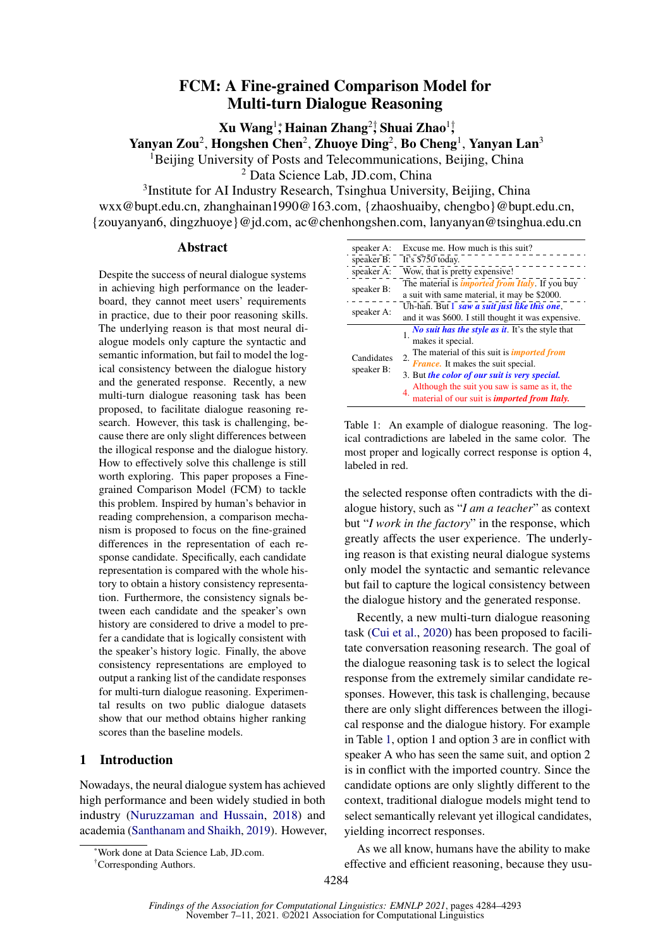# FCM: A Fine-grained Comparison Model for Multi-turn Dialogue Reasoning

Xu Wang<sup>1</sup>⇤ , Hainan Zhang<sup>2</sup>*†* , Shuai Zhao<sup>1</sup>*†* ,

Yanyan Zou<sup>2</sup>, Hongshen Chen<sup>2</sup>, Zhuoye Ding<sup>2</sup>, Bo Cheng<sup>1</sup>, Yanyan Lan<sup>3</sup>

<sup>1</sup>Beijing University of Posts and Telecommunications, Beijing, China

<sup>2</sup> Data Science Lab, JD.com, China

3Institute for AI Industry Research, Tsinghua University, Beijing, China wxx@bupt.edu.cn, zhanghainan1990@163.com, {zhaoshuaiby, chengbo}@bupt.edu.cn, {zouyanyan6, dingzhuoye}@jd.com, ac@chenhongshen.com, lanyanyan@tsinghua.edu.cn

# Abstract

Despite the success of neural dialogue systems in achieving high performance on the leaderboard, they cannot meet users' requirements in practice, due to their poor reasoning skills. The underlying reason is that most neural dialogue models only capture the syntactic and semantic information, but fail to model the logical consistency between the dialogue history and the generated response. Recently, a new multi-turn dialogue reasoning task has been proposed, to facilitate dialogue reasoning research. However, this task is challenging, because there are only slight differences between the illogical response and the dialogue history. How to effectively solve this challenge is still worth exploring. This paper proposes a Finegrained Comparison Model (FCM) to tackle this problem. Inspired by human's behavior in reading comprehension, a comparison mechanism is proposed to focus on the fine-grained differences in the representation of each response candidate. Specifically, each candidate representation is compared with the whole history to obtain a history consistency representation. Furthermore, the consistency signals between each candidate and the speaker's own history are considered to drive a model to prefer a candidate that is logically consistent with the speaker's history logic. Finally, the above consistency representations are employed to output a ranking list of the candidate responses for multi-turn dialogue reasoning. Experimental results on two public dialogue datasets show that our method obtains higher ranking scores than the baseline models.

# 1 Introduction

Nowadays, the neural dialogue system has achieved high performance and been widely studied in both industry (Nuruzzaman and Hussain, 2018) and academia (Santhanam and Shaikh, 2019). However,

| speaker A:               | Excuse me. How much is this suit?                                                                       |  |  |
|--------------------------|---------------------------------------------------------------------------------------------------------|--|--|
| speaker B:               | It's \$750 today.                                                                                       |  |  |
| speaker A:               | Wow, that is pretty expensive!                                                                          |  |  |
| speaker B:               | The material is <i>imported from Italy</i> . If you buy                                                 |  |  |
|                          | a suit with same material, it may be \$2000.                                                            |  |  |
| speaker A:               | Uh-hah. But I saw a suit just like this one,                                                            |  |  |
|                          | and it was \$600. I still thought it was expensive.                                                     |  |  |
| Candidates<br>speaker B: | No suit has the style as it. It's the style that                                                        |  |  |
|                          | makes it special.                                                                                       |  |  |
|                          | The material of this suit is <i>imported from</i>                                                       |  |  |
|                          | 2.<br>France. It makes the suit special.                                                                |  |  |
|                          | 3. But the color of our suit is very special.                                                           |  |  |
|                          | Although the suit you saw is same as it, the material of our suit is <i>imported from Italy</i> .<br>4. |  |  |
|                          |                                                                                                         |  |  |

Table 1: An example of dialogue reasoning. The logical contradictions are labeled in the same color. The most proper and logically correct response is option 4, labeled in red.

the selected response often contradicts with the dialogue history, such as "*I am a teacher*" as context but "*I work in the factory*" in the response, which greatly affects the user experience. The underlying reason is that existing neural dialogue systems only model the syntactic and semantic relevance but fail to capture the logical consistency between the dialogue history and the generated response.

Recently, a new multi-turn dialogue reasoning task (Cui et al., 2020) has been proposed to facilitate conversation reasoning research. The goal of the dialogue reasoning task is to select the logical response from the extremely similar candidate responses. However, this task is challenging, because there are only slight differences between the illogical response and the dialogue history. For example in Table 1, option 1 and option 3 are in conflict with speaker A who has seen the same suit, and option 2 is in conflict with the imported country. Since the candidate options are only slightly different to the context, traditional dialogue models might tend to select semantically relevant yet illogical candidates, yielding incorrect responses.

As we all know, humans have the ability to make effective and efficient reasoning, because they usu-

Work done at Data Science Lab, JD.com.

<sup>†</sup> Corresponding Authors.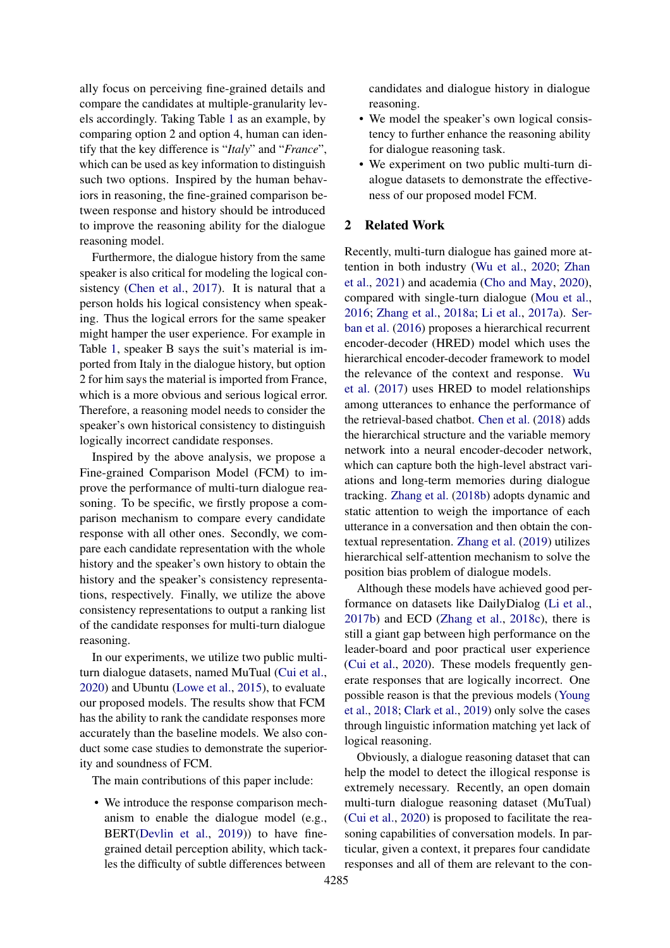ally focus on perceiving fine-grained details and compare the candidates at multiple-granularity levels accordingly. Taking Table 1 as an example, by comparing option 2 and option 4, human can identify that the key difference is "*Italy*" and "*France*", which can be used as key information to distinguish such two options. Inspired by the human behaviors in reasoning, the fine-grained comparison between response and history should be introduced to improve the reasoning ability for the dialogue reasoning model.

Furthermore, the dialogue history from the same speaker is also critical for modeling the logical consistency (Chen et al., 2017). It is natural that a person holds his logical consistency when speaking. Thus the logical errors for the same speaker might hamper the user experience. For example in Table 1, speaker B says the suit's material is imported from Italy in the dialogue history, but option 2 for him says the material is imported from France, which is a more obvious and serious logical error. Therefore, a reasoning model needs to consider the speaker's own historical consistency to distinguish logically incorrect candidate responses.

Inspired by the above analysis, we propose a Fine-grained Comparison Model (FCM) to improve the performance of multi-turn dialogue reasoning. To be specific, we firstly propose a comparison mechanism to compare every candidate response with all other ones. Secondly, we compare each candidate representation with the whole history and the speaker's own history to obtain the history and the speaker's consistency representations, respectively. Finally, we utilize the above consistency representations to output a ranking list of the candidate responses for multi-turn dialogue reasoning.

In our experiments, we utilize two public multiturn dialogue datasets, named MuTual (Cui et al., 2020) and Ubuntu (Lowe et al., 2015), to evaluate our proposed models. The results show that FCM has the ability to rank the candidate responses more accurately than the baseline models. We also conduct some case studies to demonstrate the superiority and soundness of FCM.

The main contributions of this paper include:

• We introduce the response comparison mechanism to enable the dialogue model (e.g., BERT(Devlin et al., 2019)) to have finegrained detail perception ability, which tackles the difficulty of subtle differences between

candidates and dialogue history in dialogue reasoning.

- We model the speaker's own logical consistency to further enhance the reasoning ability for dialogue reasoning task.
- We experiment on two public multi-turn dialogue datasets to demonstrate the effectiveness of our proposed model FCM.

### 2 Related Work

Recently, multi-turn dialogue has gained more attention in both industry (Wu et al., 2020; Zhan et al., 2021) and academia (Cho and May, 2020), compared with single-turn dialogue (Mou et al., 2016; Zhang et al., 2018a; Li et al., 2017a). Serban et al. (2016) proposes a hierarchical recurrent encoder-decoder (HRED) model which uses the hierarchical encoder-decoder framework to model the relevance of the context and response. Wu et al. (2017) uses HRED to model relationships among utterances to enhance the performance of the retrieval-based chatbot. Chen et al. (2018) adds the hierarchical structure and the variable memory network into a neural encoder-decoder network, which can capture both the high-level abstract variations and long-term memories during dialogue tracking. Zhang et al. (2018b) adopts dynamic and static attention to weigh the importance of each utterance in a conversation and then obtain the contextual representation. Zhang et al. (2019) utilizes hierarchical self-attention mechanism to solve the position bias problem of dialogue models.

Although these models have achieved good performance on datasets like DailyDialog (Li et al., 2017b) and ECD (Zhang et al., 2018c), there is still a giant gap between high performance on the leader-board and poor practical user experience (Cui et al., 2020). These models frequently generate responses that are logically incorrect. One possible reason is that the previous models (Young et al., 2018; Clark et al., 2019) only solve the cases through linguistic information matching yet lack of logical reasoning.

Obviously, a dialogue reasoning dataset that can help the model to detect the illogical response is extremely necessary. Recently, an open domain multi-turn dialogue reasoning dataset (MuTual) (Cui et al., 2020) is proposed to facilitate the reasoning capabilities of conversation models. In particular, given a context, it prepares four candidate responses and all of them are relevant to the con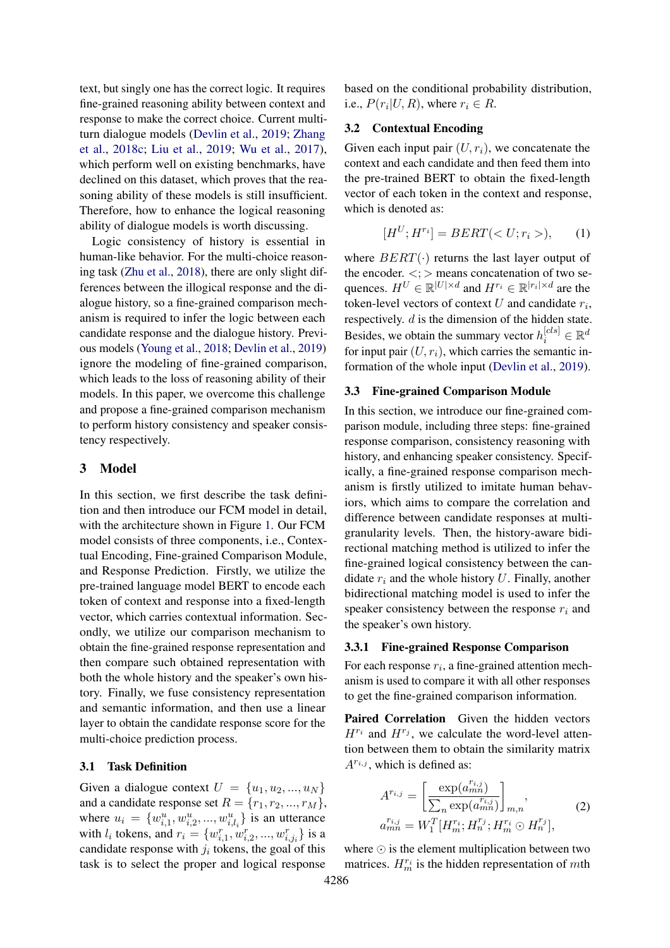text, but singly one has the correct logic. It requires fine-grained reasoning ability between context and response to make the correct choice. Current multiturn dialogue models (Devlin et al., 2019; Zhang et al., 2018c; Liu et al., 2019; Wu et al., 2017), which perform well on existing benchmarks, have declined on this dataset, which proves that the reasoning ability of these models is still insufficient. Therefore, how to enhance the logical reasoning ability of dialogue models is worth discussing.

Logic consistency of history is essential in human-like behavior. For the multi-choice reasoning task (Zhu et al., 2018), there are only slight differences between the illogical response and the dialogue history, so a fine-grained comparison mechanism is required to infer the logic between each candidate response and the dialogue history. Previous models (Young et al., 2018; Devlin et al., 2019) ignore the modeling of fine-grained comparison, which leads to the loss of reasoning ability of their models. In this paper, we overcome this challenge and propose a fine-grained comparison mechanism to perform history consistency and speaker consistency respectively.

# 3 Model

In this section, we first describe the task definition and then introduce our FCM model in detail, with the architecture shown in Figure 1. Our FCM model consists of three components, i.e., Contextual Encoding, Fine-grained Comparison Module, and Response Prediction. Firstly, we utilize the pre-trained language model BERT to encode each token of context and response into a fixed-length vector, which carries contextual information. Secondly, we utilize our comparison mechanism to obtain the fine-grained response representation and then compare such obtained representation with both the whole history and the speaker's own history. Finally, we fuse consistency representation and semantic information, and then use a linear layer to obtain the candidate response score for the multi-choice prediction process.

### 3.1 Task Definition

Given a dialogue context  $U = \{u_1, u_2, ..., u_N\}$ and a candidate response set  $R = \{r_1, r_2, ..., r_M\}$ , where  $u_i = \{w_{i,1}^u, w_{i,2}^u, ..., w_{i,l_i}^u\}$  is an utterance with  $l_i$  tokens, and  $r_i = \{w_{i,1}^r, w_{i,2}^r, ..., w_{i,j_i}^r\}$  is a candidate response with  $j_i$  tokens, the goal of this task is to select the proper and logical response based on the conditional probability distribution, i.e.,  $P(r_i|U, R)$ , where  $r_i \in R$ .

# 3.2 Contextual Encoding

Given each input pair  $(U, r_i)$ , we concatenate the context and each candidate and then feed them into the pre-trained BERT to obtain the fixed-length vector of each token in the context and response, which is denoted as:

$$
[H^U; H^{r_i}] = BERT(), \qquad (1)
$$

where  $BERT(\cdot)$  returns the last layer output of the encoder.  $\langle \cdot \rangle$  means concatenation of two sequences.  $H^U \in \mathbb{R}^{|U| \times d}$  and  $H^{r_i} \in \mathbb{R}^{|r_i| \times d}$  are the token-level vectors of context *U* and candidate *ri*, respectively. *d* is the dimension of the hidden state. Besides, we obtain the summary vector  $h_i^{[cls]} \in \mathbb{R}^d$ for input pair  $(U, r_i)$ , which carries the semantic information of the whole input (Devlin et al., 2019).

# 3.3 Fine-grained Comparison Module

In this section, we introduce our fine-grained comparison module, including three steps: fine-grained response comparison, consistency reasoning with history, and enhancing speaker consistency. Specifically, a fine-grained response comparison mechanism is firstly utilized to imitate human behaviors, which aims to compare the correlation and difference between candidate responses at multigranularity levels. Then, the history-aware bidirectional matching method is utilized to infer the fine-grained logical consistency between the candidate *r<sup>i</sup>* and the whole history *U*. Finally, another bidirectional matching model is used to infer the speaker consistency between the response *r<sup>i</sup>* and the speaker's own history.

#### 3.3.1 Fine-grained Response Comparison

For each response *ri*, a fine-grained attention mechanism is used to compare it with all other responses to get the fine-grained comparison information.

Paired Correlation Given the hidden vectors  $H^{r_i}$  and  $H^{r_j}$ , we calculate the word-level attention between them to obtain the similarity matrix  $A^{r_{i,j}}$ , which is defined as:

$$
A^{r_{i,j}} = \left[\frac{\exp(a_{mn}^{r_{i,j}})}{\sum_{n} \exp(a_{mn}^{r_{i,j}})}\right]_{m,n},
$$
  
\n
$$
a_{mn}^{r_{i,j}} = W_1^T [H_m^{r_i}; H_n^{r_j}; H_m^{r_i} \odot H_n^{r_j}],
$$
\n(2)

where  $\odot$  is the element multiplication between two matrices.  $H_m^{r_i}$  is the hidden representation of *mth*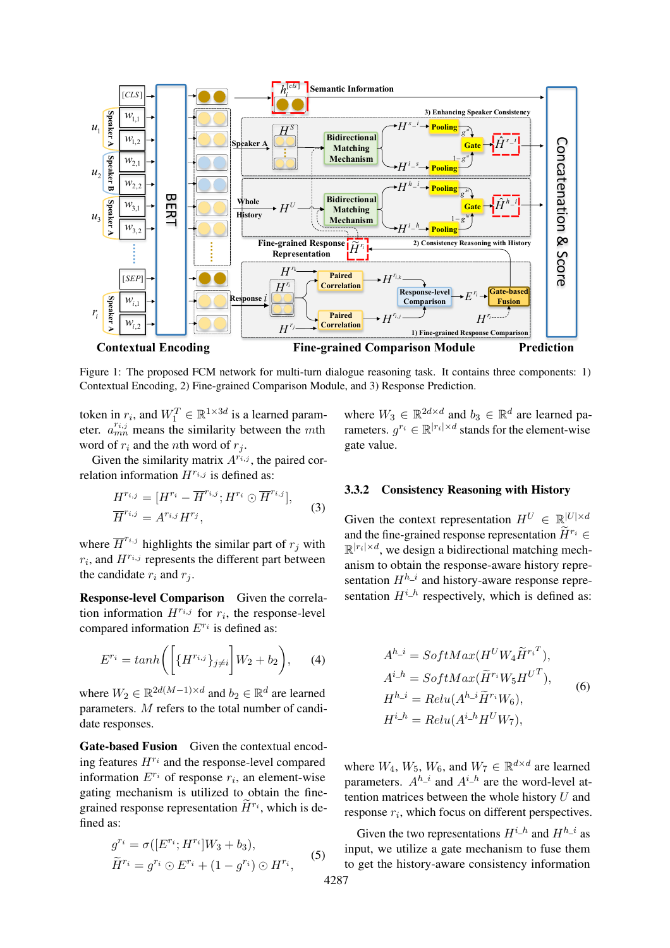

Figure 1: The proposed FCM network for multi-turn dialogue reasoning task. It contains three components: 1) Contextual Encoding, 2) Fine-grained Comparison Module, and 3) Response Prediction.

token in  $r_i$ , and  $W_1^T \in \mathbb{R}^{1 \times 3d}$  is a learned parameter.  $a_{mn}^{r_{i,j}}$  means the similarity between the *mth* word of  $r_i$  and the *n*th word of  $r_j$ .

Given the similarity matrix  $A^{r_{i,j}}$ , the paired correlation information  $H^{r_{i,j}}$  is defined as:

$$
H^{r_{i,j}} = [H^{r_i} - \overline{H}^{r_{i,j}}; H^{r_i} \odot \overline{H}^{r_{i,j}}],
$$
  
\n
$$
\overline{H}^{r_{i,j}} = A^{r_{i,j}} H^{r_j},
$$
\n(3)

where  $\overline{H}^{r_{i,j}}$  highlights the similar part of  $r_j$  with  $r_i$ , and  $H^{r_{i,j}}$  represents the different part between the candidate  $r_i$  and  $r_j$ .

Response-level Comparison Given the correlation information  $H^{r_{i,j}}$  for  $r_i$ , the response-level compared information  $E^{r_i}$  is defined as:

$$
E^{r_i} = \tanh\left(\left[\{H^{r_{i,j}}\}_{j\neq i}\right]W_2 + b_2\right),\tag{4}
$$

where  $W_2 \in \mathbb{R}^{2d(M-1)\times d}$  and  $b_2 \in \mathbb{R}^d$  are learned parameters. *M* refers to the total number of candidate responses.

Gate-based Fusion Given the contextual encoding features  $H^{r_i}$  and the response-level compared information  $E^{r_i}$  of response  $r_i$ , an element-wise gating mechanism is utilized to obtain the finegrained response representation  $\widetilde{H}^{r_i}$ , which is defined as:

$$
g^{r_i} = \sigma([E^{r_i}; H^{r_i}]W_3 + b_3),
$$
  
\n
$$
\widetilde{H}^{r_i} = g^{r_i} \odot E^{r_i} + (1 - g^{r_i}) \odot H^{r_i},
$$
\n(5)

where  $W_3 \in \mathbb{R}^{2d \times d}$  and  $b_3 \in \mathbb{R}^d$  are learned parameters.  $q^{r_i} \in \mathbb{R}^{|r_i| \times d}$  stands for the element-wise gate value.

### 3.3.2 Consistency Reasoning with History

Given the context representation  $H^U \in \mathbb{R}^{|U| \times d}$ and the fine-grained response representation  $\widetilde{H}^{r_i} \in$  $\mathbb{R}^{|r_i| \times d}$ , we design a bidirectional matching mechanism to obtain the response-aware history representation  $H^{h_i}$  and history-aware response representation  $H^{i_h}$  respectively, which is defined as:

$$
A^{h\_i} = SoftMax(H^U W_4 \widetilde{H}^{r_i^T}),
$$
  
\n
$$
A^{i\_h} = SoftMax(\widetilde{H}^{r_i} W_5 H^{U^T}),
$$
  
\n
$$
H^{h\_i} = Relu(A^{h\_i} \widetilde{H}^{r_i} W_6),
$$
  
\n
$$
H^{i\_h} = Relu(A^{i\_h} H^U W_7),
$$
\n(6)

where  $W_4$ ,  $W_5$ ,  $W_6$ , and  $W_7 \in \mathbb{R}^{d \times d}$  are learned parameters.  $A^{h_{-i}}$  and  $A^{i_{-h}}$  are the word-level attention matrices between the whole history *U* and response *ri*, which focus on different perspectives.

Given the two representations  $H^{i_h}$  and  $H^{h_i}$  as input, we utilize a gate mechanism to fuse them to get the history-aware consistency information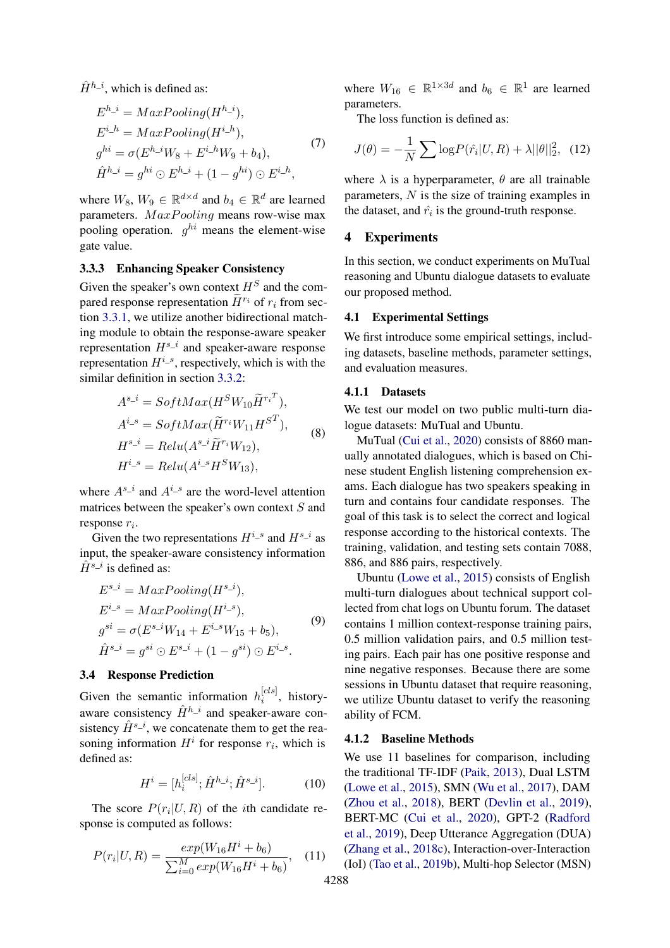$\hat{H}^{h\_i}$ , which is defined as:

$$
E^{h\_i} = MaxPooling(H^{h\_i}),
$$
  
\n
$$
E^{i\_h} = MaxPooling(H^{i\_h}),
$$
  
\n
$$
g^{hi} = \sigma(E^{h\_i}W_8 + E^{i\_h}W_9 + b_4),
$$
  
\n
$$
\hat{H}^{h\_i} = g^{hi} \odot E^{h\_i} + (1 - g^{hi}) \odot E^{i\_h},
$$
\n(7)

where  $W_8$ ,  $W_9 \in \mathbb{R}^{d \times d}$  and  $b_4 \in \mathbb{R}^d$  are learned parameters. *M axP ooling* means row-wise max pooling operation. *ghi* means the element-wise gate value.

# 3.3.3 Enhancing Speaker Consistency

Given the speaker's own context *H<sup>S</sup>* and the compared response representation  $\widetilde{H}^{r_i}$  of  $r_i$  from section 3.3.1, we utilize another bidirectional matching module to obtain the response-aware speaker representation  $H^{s_i}$  and speaker-aware response representation  $H^{i_s}$ , respectively, which is with the similar definition in section 3.3.2:

$$
A^{s_i} = SoftMax(H^SW_{10}\widetilde{H}^{r_i})
$$
\n
$$
A^{i_s} = SoftMax(\widetilde{H}^{r_i}W_{11}H^{S^T}),
$$
\n
$$
H^{s_i} = Relu(A^{s_i}\widetilde{H}^{r_i}W_{12}),
$$
\n
$$
H^{i_s} = Relu(A^{i_s}H^SW_{13}),
$$
\n(8)

where  $A^{s_i}$  and  $A^{i_s}$  are the word-level attention matrices between the speaker's own context *S* and response *ri*.

Given the two representations  $H^{i_s}$  and  $H^{s_i}$  as input, the speaker-aware consistency information  $\hat{H}^{s}$ <sup>*i*</sup> is defined as:

$$
E^{s_{-}i} = MaxPooling(H^{s_{-}i}),
$$
  
\n
$$
E^{i_{-}s} = MaxPooling(H^{i_{-}s}),
$$
  
\n
$$
g^{si} = \sigma(E^{s_{-}i}W_{14} + E^{i_{-}s}W_{15} + b_5),
$$
  
\n
$$
\hat{H}^{s_{-}i} = g^{si} \odot E^{s_{-}i} + (1 - g^{si}) \odot E^{i_{-}s}.
$$
\n(9)

# 3.4 Response Prediction

Given the semantic information  $h_i^{[cls]}$ , historyaware consistency  $\hat{H}^{h}$ <sup>*i*</sup> and speaker-aware consistency  $\hat{H}^{s_i}$ , we concatenate them to get the reasoning information  $H^i$  for response  $r_i$ , which is defined as:

$$
H^{i} = [h_i^{[cls]}; \hat{H}^{h_{-i}}; \hat{H}^{s_{-i}}].
$$
 (10)

The score  $P(r_i|U, R)$  of the *i*th candidate response is computed as follows:

$$
P(r_i|U,R) = \frac{exp(W_{16}H^i + b_6)}{\sum_{i=0}^{M} exp(W_{16}H^i + b_6)},
$$
 (11)

where  $W_{16} \in \mathbb{R}^{1 \times 3d}$  and  $b_6 \in \mathbb{R}^1$  are learned parameters.

The loss function is defined as:

$$
J(\theta) = -\frac{1}{N} \sum \log P(\hat{r_i}|U, R) + \lambda ||\theta||_2^2, \quad (12)
$$

where  $\lambda$  is a hyperparameter,  $\theta$  are all trainable parameters, *N* is the size of training examples in the dataset, and  $\hat{r}_i$  is the ground-truth response.

# 4 Experiments

In this section, we conduct experiments on MuTual reasoning and Ubuntu dialogue datasets to evaluate our proposed method.

#### 4.1 Experimental Settings

We first introduce some empirical settings, including datasets, baseline methods, parameter settings, and evaluation measures.

# 4.1.1 Datasets

We test our model on two public multi-turn dialogue datasets: MuTual and Ubuntu.

MuTual (Cui et al., 2020) consists of 8860 manually annotated dialogues, which is based on Chinese student English listening comprehension exams. Each dialogue has two speakers speaking in turn and contains four candidate responses. The goal of this task is to select the correct and logical response according to the historical contexts. The training, validation, and testing sets contain 7088, 886, and 886 pairs, respectively.

Ubuntu (Lowe et al., 2015) consists of English multi-turn dialogues about technical support collected from chat logs on Ubuntu forum. The dataset contains 1 million context-response training pairs, 0.5 million validation pairs, and 0.5 million testing pairs. Each pair has one positive response and nine negative responses. Because there are some sessions in Ubuntu dataset that require reasoning, we utilize Ubuntu dataset to verify the reasoning ability of FCM.

#### 4.1.2 Baseline Methods

We use 11 baselines for comparison, including the traditional TF-IDF (Paik, 2013), Dual LSTM (Lowe et al., 2015), SMN (Wu et al., 2017), DAM (Zhou et al., 2018), BERT (Devlin et al., 2019), BERT-MC (Cui et al., 2020), GPT-2 (Radford et al., 2019), Deep Utterance Aggregation (DUA) (Zhang et al., 2018c), Interaction-over-Interaction (IoI) (Tao et al., 2019b), Multi-hop Selector (MSN)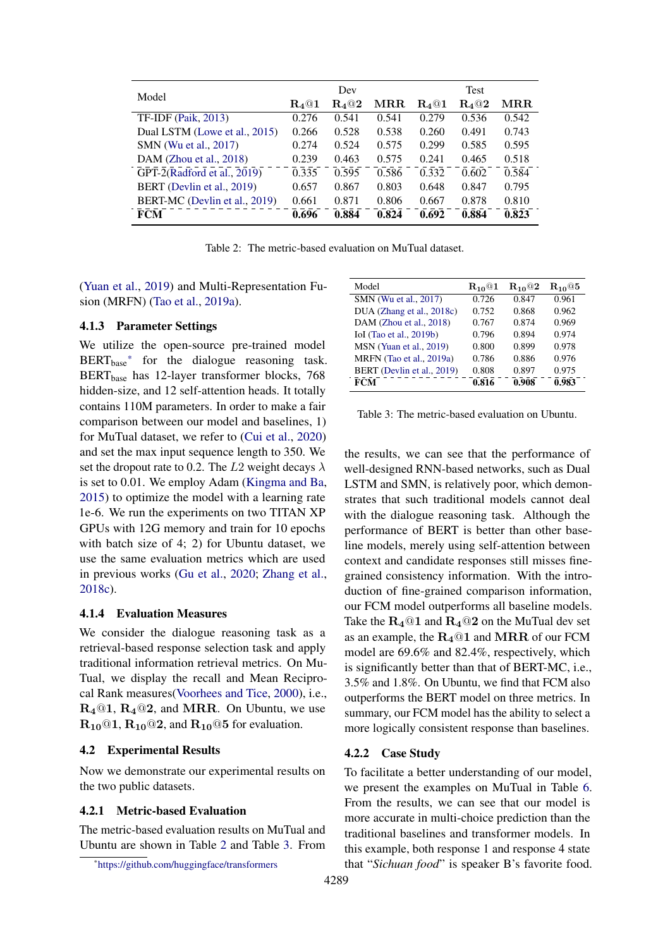| Model                         | Dev            |             |                      | <b>Test</b> |             |                      |
|-------------------------------|----------------|-------------|----------------------|-------------|-------------|----------------------|
|                               | $\rm R_{4}$ @1 | $\rm R_4@2$ | $\operatorname{MRR}$ | $\rm R_4@1$ | $\rm R_4@2$ | $\operatorname{MRR}$ |
| <b>TF-IDF</b> (Paik, 2013)    | 0.276          | 0.541       | 0.541                | 0.279       | 0.536       | 0.542                |
| Dual LSTM (Lowe et al., 2015) | 0.266          | 0.528       | 0.538                | 0.260       | 0.491       | 0.743                |
| SMN (Wu et al., 2017)         | 0.274          | 0.524       | 0.575                | 0.299       | 0.585       | 0.595                |
| DAM (Zhou et al., $2018$ )    | 0.239          | 0.463       | 0.575                | 0.241       | 0.465       | 0.518                |
| GPT-2(Radford et al., 2019)   | 0.335          | 0.595       | 0.586                | 0.332       | 0.602       | 0.584                |
| BERT (Devlin et al., 2019)    | 0.657          | 0.867       | 0.803                | 0.648       | 0.847       | 0.795                |
| BERT-MC (Devlin et al., 2019) | 0.661          | 0.871       | 0.806                | 0.667       | 0.878       | 0.810                |
| <b>FCM</b>                    | 0.696          | 0.884       | 0.824                | 0.692       | 0.884       | 0.823                |

Table 2: The metric-based evaluation on MuTual dataset.

(Yuan et al., 2019) and Multi-Representation Fusion (MRFN) (Tao et al., 2019a).

# 4.1.3 Parameter Settings

We utilize the open-source pre-trained model BERT<sub>base</sub>\* for the dialogue reasoning task. BERTbase has 12-layer transformer blocks, 768 hidden-size, and 12 self-attention heads. It totally contains 110M parameters. In order to make a fair comparison between our model and baselines, 1) for MuTual dataset, we refer to (Cui et al., 2020) and set the max input sequence length to 350. We set the dropout rate to 0.2. The  $L2$  weight decays  $\lambda$ is set to 0.01. We employ Adam (Kingma and Ba, 2015) to optimize the model with a learning rate 1e-6. We run the experiments on two TITAN XP GPUs with 12G memory and train for 10 epochs with batch size of 4; 2) for Ubuntu dataset, we use the same evaluation metrics which are used in previous works (Gu et al., 2020; Zhang et al., 2018c).

# 4.1.4 Evaluation Measures

We consider the dialogue reasoning task as a retrieval-based response selection task and apply traditional information retrieval metrics. On Mu-Tual, we display the recall and Mean Reciprocal Rank measures(Voorhees and Tice, 2000), i.e.,  $R_4@1, R_4@2,$  and MRR. On Ubuntu, we use  $R_{10}$  (01,  $R_{10}$  (02, and  $R_{10}$  (05 for evaluation.

#### 4.2 Experimental Results

Now we demonstrate our experimental results on the two public datasets.

### 4.2.1 Metric-based Evaluation

The metric-based evaluation results on MuTual and Ubuntu are shown in Table 2 and Table 3. From

| Model                      | $R_{10}$ @1 | $R_{10}$ <sup>Q</sup> 2 | $R_{10}$ @5 |
|----------------------------|-------------|-------------------------|-------------|
| SMN (Wu et al., 2017)      | 0.726       | 0.847                   | 0.961       |
| DUA (Zhang et al., 2018c)  | 0.752       | 0.868                   | 0.962       |
| DAM (Zhou et al., 2018)    | 0.767       | 0.874                   | 0.969       |
| IoI (Tao et al., 2019b)    | 0.796       | 0.894                   | 0.974       |
| MSN (Yuan et al., 2019)    | 0.800       | 0.899                   | 0.978       |
| MRFN (Tao et al., 2019a)   | 0.786       | 0.886                   | 0.976       |
| BERT (Devlin et al., 2019) | 0.808       | 0.897                   | 0.975       |
| <b>FCM</b>                 | 0.816       | 0.908                   | 0.983       |

Table 3: The metric-based evaluation on Ubuntu.

the results, we can see that the performance of well-designed RNN-based networks, such as Dual LSTM and SMN, is relatively poor, which demonstrates that such traditional models cannot deal with the dialogue reasoning task. Although the performance of BERT is better than other baseline models, merely using self-attention between context and candidate responses still misses finegrained consistency information. With the introduction of fine-grained comparison information, our FCM model outperforms all baseline models. Take the  $R_4@1$  and  $R_4@2$  on the MuTual dev set as an example, the  $R_4@1$  and MRR of our FCM model are 69.6% and 82.4%, respectively, which is significantly better than that of BERT-MC, i.e., 3.5% and 1.8%. On Ubuntu, we find that FCM also outperforms the BERT model on three metrics. In summary, our FCM model has the ability to select a more logically consistent response than baselines.

#### 4.2.2 Case Study

To facilitate a better understanding of our model, we present the examples on MuTual in Table 6. From the results, we can see that our model is more accurate in multi-choice prediction than the traditional baselines and transformer models. In this example, both response 1 and response 4 state that "*Sichuan food*" is speaker B's favorite food.

<sup>\*</sup>https://github.com/huggingface/transformers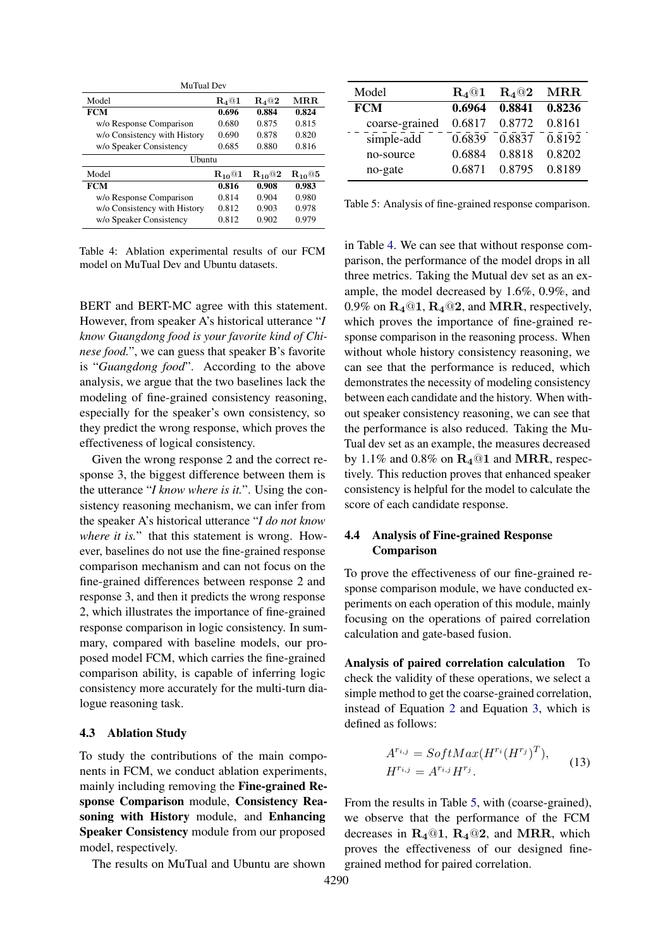| MuTual Dev                   |                |                |             |
|------------------------------|----------------|----------------|-------------|
| Model                        | $\rm R_4@1$    | $\rm R_{4}@2$  | MR.R.       |
| <b>FCM</b>                   | 0.696          | 0.884          | 0.824       |
| w/o Response Comparison      | 0.680          | 0.875          | 0.815       |
| w/o Consistency with History | 0.690          | 0.878          | 0.820       |
| w/o Speaker Consistency      | 0.685          | 0.880          | 0.816       |
| Ubuntu                       |                |                |             |
| Model                        | $\rm R_{10}@1$ | $\rm R_{10}@2$ | $R_{10}$ @5 |
| <b>FCM</b>                   | 0.816          | 0.908          | 0.983       |
| w/o Response Comparison      | 0.814          | 0.904          | 0.980       |
| w/o Consistency with History | 0.812          | 0.903          | 0.978       |
| w/o Speaker Consistency      | 0.812          | 0.902          | 0.979       |

Table 4: Ablation experimental results of our FCM model on MuTual Dev and Ubuntu datasets.

BERT and BERT-MC agree with this statement. However, from speaker A's historical utterance "*I know Guangdong food is your favorite kind of Chinese food.*", we can guess that speaker B's favorite is "*Guangdong food*". According to the above analysis, we argue that the two baselines lack the modeling of fine-grained consistency reasoning, especially for the speaker's own consistency, so they predict the wrong response, which proves the effectiveness of logical consistency.

Given the wrong response 2 and the correct response 3, the biggest difference between them is the utterance "*I know where is it.*". Using the consistency reasoning mechanism, we can infer from the speaker A's historical utterance "*I do not know where it is.*" that this statement is wrong. However, baselines do not use the fine-grained response comparison mechanism and can not focus on the fine-grained differences between response 2 and response 3, and then it predicts the wrong response 2, which illustrates the importance of fine-grained response comparison in logic consistency. In summary, compared with baseline models, our proposed model FCM, which carries the fine-grained comparison ability, is capable of inferring logic consistency more accurately for the multi-turn dialogue reasoning task.

# 4.3 Ablation Study

To study the contributions of the main components in FCM, we conduct ablation experiments, mainly including removing the Fine-grained Response Comparison module, Consistency Reasoning with History module, and Enhancing Speaker Consistency module from our proposed model, respectively.

The results on MuTual and Ubuntu are shown

| Model          | $\rm R_{4}$ @1 | $R_4@2$ | $\operatorname{MRR}$ |
|----------------|----------------|---------|----------------------|
| <b>FCM</b>     | 0.6964         | 0.8841  | 0.8236               |
| coarse-grained | 0.6817         | 0.8772  | 0.8161               |
| simple-add     | 0.6839         | 0.8837  | 0.8192               |
| no-source      | 0.6884         | 0.8818  | 0.8202               |
| no-gate        | 0.6871         | 0.8795  | 0.8189               |

Table 5: Analysis of fine-grained response comparison.

in Table 4. We can see that without response comparison, the performance of the model drops in all three metrics. Taking the Mutual dev set as an example, the model decreased by 1.6%, 0.9%, and 0.9% on  $R_4@1, R_4@2$ , and MRR, respectively, which proves the importance of fine-grained response comparison in the reasoning process. When without whole history consistency reasoning, we can see that the performance is reduced, which demonstrates the necessity of modeling consistency between each candidate and the history. When without speaker consistency reasoning, we can see that the performance is also reduced. Taking the Mu-Tual dev set as an example, the measures decreased by 1.1% and 0.8% on  $R_4@1$  and MRR, respectively. This reduction proves that enhanced speaker consistency is helpful for the model to calculate the score of each candidate response.

# 4.4 Analysis of Fine-grained Response Comparison

To prove the effectiveness of our fine-grained response comparison module, we have conducted experiments on each operation of this module, mainly focusing on the operations of paired correlation calculation and gate-based fusion.

Analysis of paired correlation calculation To check the validity of these operations, we select a simple method to get the coarse-grained correlation, instead of Equation 2 and Equation 3, which is defined as follows:

$$
A^{r_{i,j}} = SoftMax(H^{r_i}(H^{r_j})^T),
$$
  
\n
$$
H^{r_{i,j}} = A^{r_{i,j}}H^{r_j}.
$$
\n(13)

From the results in Table 5, with (coarse-grained), we observe that the performance of the FCM decreases in  $R_4@1$ ,  $R_4@2$ , and MRR, which proves the effectiveness of our designed finegrained method for paired correlation.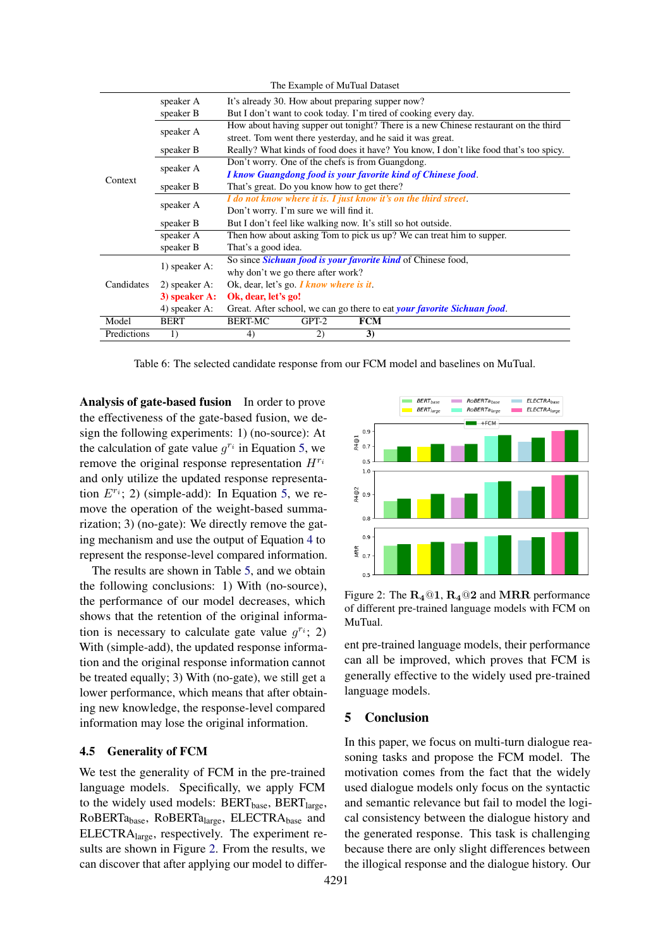| The Example of MuTual Dataset |               |                                                                                        |  |  |  |
|-------------------------------|---------------|----------------------------------------------------------------------------------------|--|--|--|
|                               | speaker A     | It's already 30. How about preparing supper now?                                       |  |  |  |
| speaker A<br>Context          | speaker B     | But I don't want to cook today. I'm tired of cooking every day.                        |  |  |  |
|                               | speaker A     | How about having supper out tonight? There is a new Chinese restaurant on the third    |  |  |  |
|                               |               | street. Tom went there yesterday, and he said it was great.                            |  |  |  |
|                               | speaker B     | Really? What kinds of food does it have? You know, I don't like food that's too spicy. |  |  |  |
|                               |               | Don't worry. One of the chefs is from Guangdong.                                       |  |  |  |
|                               |               | I know Guangdong food is your favorite kind of Chinese food.                           |  |  |  |
|                               | speaker B     | That's great. Do you know how to get there?                                            |  |  |  |
|                               | speaker A     | I do not know where it is. I just know it's on the third street.                       |  |  |  |
|                               |               | Don't worry. I'm sure we will find it.                                                 |  |  |  |
|                               | speaker B     | But I don't feel like walking now. It's still so hot outside.                          |  |  |  |
|                               | speaker A     | Then how about asking Tom to pick us up? We can treat him to supper.                   |  |  |  |
|                               | speaker B     | That's a good idea.                                                                    |  |  |  |
| Candidates                    |               | So since Sichuan food is your favorite kind of Chinese food,                           |  |  |  |
|                               | 1) speaker A: | why don't we go there after work?                                                      |  |  |  |
|                               | 2) speaker A: | Ok, dear, let's go $\boldsymbol{I}$ know where is it.                                  |  |  |  |
|                               | 3) speaker A: | Ok, dear, let's go!                                                                    |  |  |  |
|                               | 4) speaker A: | Great. After school, we can go there to eat your favorite Sichuan food.                |  |  |  |
| Model                         | <b>BERT</b>   | <b>BERT-MC</b><br>$GPT-2$<br><b>FCM</b>                                                |  |  |  |
| Predictions                   | 1)            | 3)<br>4)<br>2)                                                                         |  |  |  |

Table 6: The selected candidate response from our FCM model and baselines on MuTual.

Analysis of gate-based fusion In order to prove the effectiveness of the gate-based fusion, we design the following experiments: 1) (no-source): At the calculation of gate value  $q^{r_i}$  in Equation 5, we remove the original response representation *Hr<sup>i</sup>* and only utilize the updated response representation  $E^{r_i}$ ; 2) (simple-add): In Equation 5, we remove the operation of the weight-based summarization; 3) (no-gate): We directly remove the gating mechanism and use the output of Equation 4 to represent the response-level compared information.

The results are shown in Table 5, and we obtain the following conclusions: 1) With (no-source), the performance of our model decreases, which shows that the retention of the original information is necessary to calculate gate value  $q^{r_i}$ ; 2) With (simple-add), the updated response information and the original response information cannot be treated equally; 3) With (no-gate), we still get a lower performance, which means that after obtaining new knowledge, the response-level compared information may lose the original information.

# 4.5 Generality of FCM

We test the generality of FCM in the pre-trained language models. Specifically, we apply FCM to the widely used models:  $BERT_{base}$ ,  $BERT_{large}$ , RoBERTabase, RoBERTalarge, ELECTRAbase and ELECTRAlarge, respectively. The experiment results are shown in Figure 2. From the results, we can discover that after applying our model to differ-



Figure 2: The  $R_4@1$ ,  $R_4@2$  and MRR performance of different pre-trained language models with FCM on MuTual.

ent pre-trained language models, their performance can all be improved, which proves that FCM is generally effective to the widely used pre-trained language models.

# 5 Conclusion

In this paper, we focus on multi-turn dialogue reasoning tasks and propose the FCM model. The motivation comes from the fact that the widely used dialogue models only focus on the syntactic and semantic relevance but fail to model the logical consistency between the dialogue history and the generated response. This task is challenging because there are only slight differences between the illogical response and the dialogue history. Our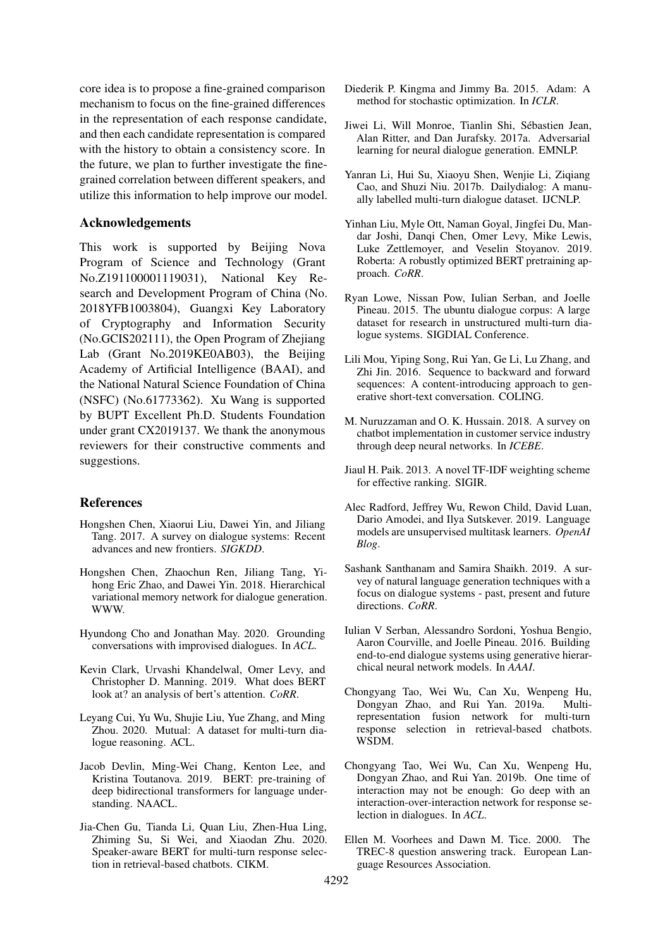core idea is to propose a fine-grained comparison mechanism to focus on the fine-grained differences in the representation of each response candidate, and then each candidate representation is compared with the history to obtain a consistency score. In the future, we plan to further investigate the finegrained correlation between different speakers, and utilize this information to help improve our model.

# Acknowledgements

This work is supported by Beijing Nova Program of Science and Technology (Grant No.Z191100001119031), National Key Research and Development Program of China (No. 2018YFB1003804), Guangxi Key Laboratory of Cryptography and Information Security (No.GCIS202111), the Open Program of Zhejiang Lab (Grant No.2019KE0AB03), the Beijing Academy of Artificial Intelligence (BAAI), and the National Natural Science Foundation of China (NSFC) (No.61773362). Xu Wang is supported by BUPT Excellent Ph.D. Students Foundation under grant CX2019137. We thank the anonymous reviewers for their constructive comments and suggestions.

### References

- Hongshen Chen, Xiaorui Liu, Dawei Yin, and Jiliang Tang. 2017. A survey on dialogue systems: Recent advances and new frontiers. *SIGKDD*.
- Hongshen Chen, Zhaochun Ren, Jiliang Tang, Yihong Eric Zhao, and Dawei Yin. 2018. Hierarchical variational memory network for dialogue generation. WWW.
- Hyundong Cho and Jonathan May. 2020. Grounding conversations with improvised dialogues. In *ACL*.
- Kevin Clark, Urvashi Khandelwal, Omer Levy, and Christopher D. Manning. 2019. What does BERT look at? an analysis of bert's attention. *CoRR*.
- Leyang Cui, Yu Wu, Shujie Liu, Yue Zhang, and Ming Zhou. 2020. Mutual: A dataset for multi-turn dialogue reasoning. ACL.
- Jacob Devlin, Ming-Wei Chang, Kenton Lee, and Kristina Toutanova. 2019. BERT: pre-training of deep bidirectional transformers for language understanding. NAACL.
- Jia-Chen Gu, Tianda Li, Quan Liu, Zhen-Hua Ling, Zhiming Su, Si Wei, and Xiaodan Zhu. 2020. Speaker-aware BERT for multi-turn response selection in retrieval-based chatbots. CIKM.
- Diederik P. Kingma and Jimmy Ba. 2015. Adam: A method for stochastic optimization. In *ICLR*.
- Jiwei Li, Will Monroe, Tianlin Shi, Sébastien Jean, Alan Ritter, and Dan Jurafsky. 2017a. Adversarial learning for neural dialogue generation. EMNLP.
- Yanran Li, Hui Su, Xiaoyu Shen, Wenjie Li, Ziqiang Cao, and Shuzi Niu. 2017b. Dailydialog: A manually labelled multi-turn dialogue dataset. IJCNLP.
- Yinhan Liu, Myle Ott, Naman Goyal, Jingfei Du, Mandar Joshi, Danqi Chen, Omer Levy, Mike Lewis, Luke Zettlemoyer, and Veselin Stoyanov. 2019. Roberta: A robustly optimized BERT pretraining approach. *CoRR*.
- Ryan Lowe, Nissan Pow, Iulian Serban, and Joelle Pineau. 2015. The ubuntu dialogue corpus: A large dataset for research in unstructured multi-turn dialogue systems. SIGDIAL Conference.
- Lili Mou, Yiping Song, Rui Yan, Ge Li, Lu Zhang, and Zhi Jin. 2016. Sequence to backward and forward sequences: A content-introducing approach to generative short-text conversation. COLING.
- M. Nuruzzaman and O. K. Hussain. 2018. A survey on chatbot implementation in customer service industry through deep neural networks. In *ICEBE*.
- Jiaul H. Paik. 2013. A novel TF-IDF weighting scheme for effective ranking. SIGIR.
- Alec Radford, Jeffrey Wu, Rewon Child, David Luan, Dario Amodei, and Ilya Sutskever. 2019. Language models are unsupervised multitask learners. *OpenAI Blog*.
- Sashank Santhanam and Samira Shaikh. 2019. A survey of natural language generation techniques with a focus on dialogue systems - past, present and future directions. *CoRR*.
- Iulian V Serban, Alessandro Sordoni, Yoshua Bengio, Aaron Courville, and Joelle Pineau. 2016. Building end-to-end dialogue systems using generative hierarchical neural network models. In *AAAI*.
- Chongyang Tao, Wei Wu, Can Xu, Wenpeng Hu, Dongyan Zhao, and Rui Yan. 2019a. Multirepresentation fusion network for multi-turn response selection in retrieval-based chatbots. WSDM.
- Chongyang Tao, Wei Wu, Can Xu, Wenpeng Hu, Dongyan Zhao, and Rui Yan. 2019b. One time of interaction may not be enough: Go deep with an interaction-over-interaction network for response selection in dialogues. In *ACL*.
- Ellen M. Voorhees and Dawn M. Tice. 2000. The TREC-8 question answering track. European Language Resources Association.